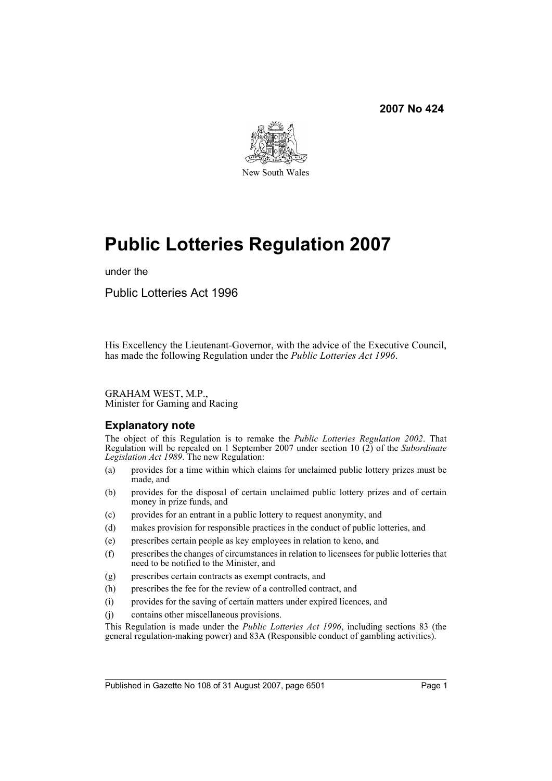

# **Public Lotteries Regulation 2007**

under the

Public Lotteries Act 1996

His Excellency the Lieutenant-Governor, with the advice of the Executive Council, has made the following Regulation under the *Public Lotteries Act 1996*.

GRAHAM WEST, M.P., Minister for Gaming and Racing

#### **Explanatory note**

The object of this Regulation is to remake the *Public Lotteries Regulation 2002*. That Regulation will be repealed on 1 September 2007 under section 10 (2) of the *Subordinate Legislation Act 1989*. The new Regulation:

- (a) provides for a time within which claims for unclaimed public lottery prizes must be made, and
- (b) provides for the disposal of certain unclaimed public lottery prizes and of certain money in prize funds, and
- (c) provides for an entrant in a public lottery to request anonymity, and
- (d) makes provision for responsible practices in the conduct of public lotteries, and
- (e) prescribes certain people as key employees in relation to keno, and
- (f) prescribes the changes of circumstances in relation to licensees for public lotteries that need to be notified to the Minister, and
- (g) prescribes certain contracts as exempt contracts, and
- (h) prescribes the fee for the review of a controlled contract, and
- (i) provides for the saving of certain matters under expired licences, and
- (j) contains other miscellaneous provisions.

This Regulation is made under the *Public Lotteries Act 1996*, including sections 83 (the general regulation-making power) and 83A (Responsible conduct of gambling activities).

Published in Gazette No 108 of 31 August 2007, page 6501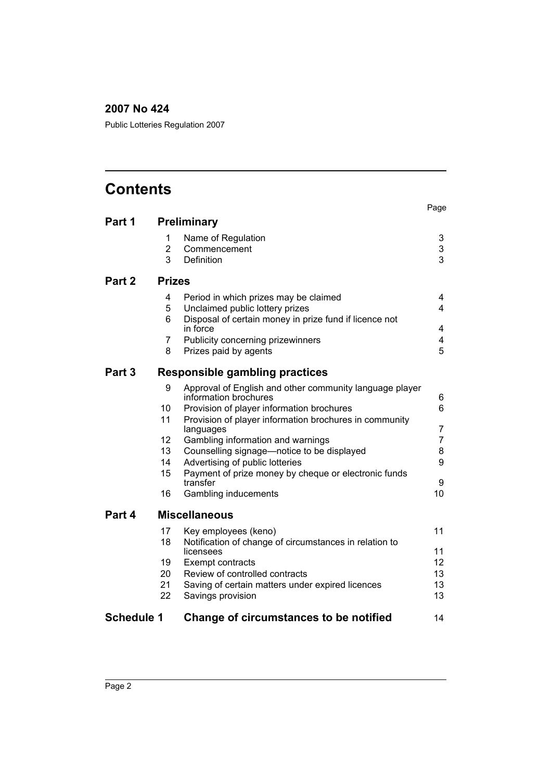Public Lotteries Regulation 2007

# **Contents**

|                   |                |                                                                     | Page           |
|-------------------|----------------|---------------------------------------------------------------------|----------------|
| Part 1            |                | <b>Preliminary</b>                                                  |                |
|                   | 1              | Name of Regulation                                                  | 3              |
|                   | $\overline{2}$ | Commencement                                                        | 3              |
|                   | 3              | <b>Definition</b>                                                   | 3              |
| Part 2            | <b>Prizes</b>  |                                                                     |                |
|                   | 4              | Period in which prizes may be claimed                               | 4              |
|                   | 5              | Unclaimed public lottery prizes                                     | 4              |
|                   | 6              | Disposal of certain money in prize fund if licence not<br>in force  | 4              |
|                   | 7              | Publicity concerning prizewinners                                   | 4              |
|                   | 8              | Prizes paid by agents                                               | 5              |
| Part 3            |                | Responsible gambling practices                                      |                |
|                   | 9              | Approval of English and other community language player             |                |
|                   |                | information brochures                                               | 6              |
|                   | 10             | Provision of player information brochures                           | 6              |
|                   | 11             | Provision of player information brochures in community<br>languages | 7              |
|                   | 12             | Gambling information and warnings                                   | $\overline{7}$ |
|                   | 13             | Counselling signage-notice to be displayed                          | 8              |
|                   | 14             | Advertising of public lotteries                                     | 9              |
|                   | 15             | Payment of prize money by cheque or electronic funds<br>transfer    | 9              |
|                   | 16             | Gambling inducements                                                | 10             |
| Part 4            |                | <b>Miscellaneous</b>                                                |                |
|                   | 17             | Key employees (keno)                                                | 11             |
|                   | 18             | Notification of change of circumstances in relation to<br>licensees | 11             |
|                   | 19             | Exempt contracts                                                    | 12             |
|                   | 20             | Review of controlled contracts                                      | 13             |
|                   | 21             | Saving of certain matters under expired licences                    | 13             |
|                   | 22             | Savings provision                                                   | 13             |
| <b>Schedule 1</b> |                | Change of circumstances to be notified                              | 14             |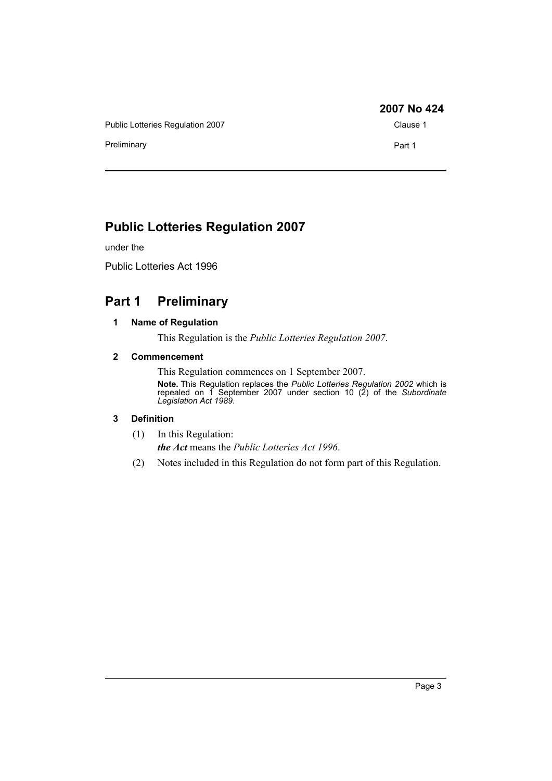Public Lotteries Regulation 2007 Clause 1

Preliminary **Part 1** 

**2007 No 424**

# **Public Lotteries Regulation 2007**

under the

Public Lotteries Act 1996

# <span id="page-2-1"></span><span id="page-2-0"></span>**Part 1 Preliminary**

#### **1 Name of Regulation**

This Regulation is the *Public Lotteries Regulation 2007*.

#### <span id="page-2-2"></span>**2 Commencement**

This Regulation commences on 1 September 2007. **Note.** This Regulation replaces the *Public Lotteries Regulation 2002* which is repealed on 1 September 2007 under section 10 (2) of the *Subordinate Legislation Act 1989*.

#### <span id="page-2-3"></span>**3 Definition**

- (1) In this Regulation: *the Act* means the *Public Lotteries Act 1996*.
- (2) Notes included in this Regulation do not form part of this Regulation.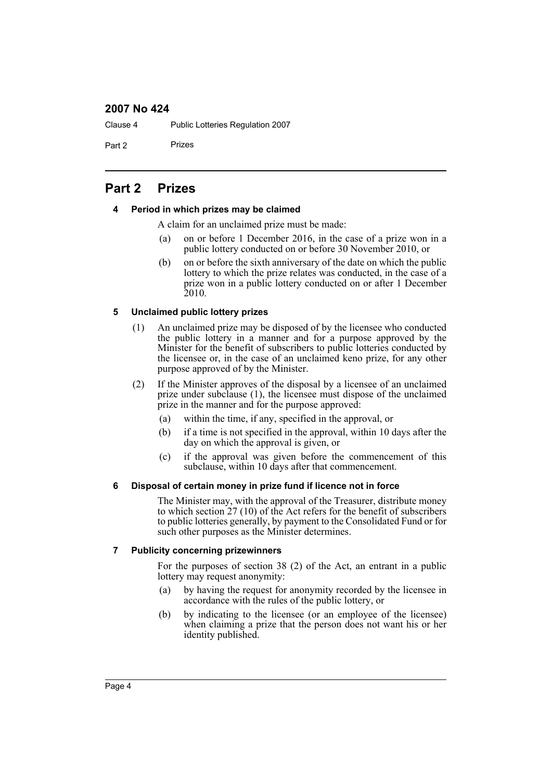Clause 4 Public Lotteries Regulation 2007

Part 2 Prizes

# <span id="page-3-1"></span><span id="page-3-0"></span>**Part 2 Prizes**

#### **4 Period in which prizes may be claimed**

A claim for an unclaimed prize must be made:

- (a) on or before 1 December 2016, in the case of a prize won in a public lottery conducted on or before 30 November 2010, or
- (b) on or before the sixth anniversary of the date on which the public lottery to which the prize relates was conducted, in the case of a prize won in a public lottery conducted on or after 1 December 2010.

#### <span id="page-3-2"></span>**5 Unclaimed public lottery prizes**

- (1) An unclaimed prize may be disposed of by the licensee who conducted the public lottery in a manner and for a purpose approved by the Minister for the benefit of subscribers to public lotteries conducted by the licensee or, in the case of an unclaimed keno prize, for any other purpose approved of by the Minister.
- (2) If the Minister approves of the disposal by a licensee of an unclaimed prize under subclause (1), the licensee must dispose of the unclaimed prize in the manner and for the purpose approved:
	- (a) within the time, if any, specified in the approval, or
	- (b) if a time is not specified in the approval, within 10 days after the day on which the approval is given, or
	- (c) if the approval was given before the commencement of this subclause, within 10 days after that commencement.

#### <span id="page-3-3"></span>**6 Disposal of certain money in prize fund if licence not in force**

The Minister may, with the approval of the Treasurer, distribute money to which section 27 (10) of the Act refers for the benefit of subscribers to public lotteries generally, by payment to the Consolidated Fund or for such other purposes as the Minister determines.

#### <span id="page-3-4"></span>**7 Publicity concerning prizewinners**

For the purposes of section 38 (2) of the Act, an entrant in a public lottery may request anonymity:

- (a) by having the request for anonymity recorded by the licensee in accordance with the rules of the public lottery, or
- (b) by indicating to the licensee (or an employee of the licensee) when claiming a prize that the person does not want his or her identity published.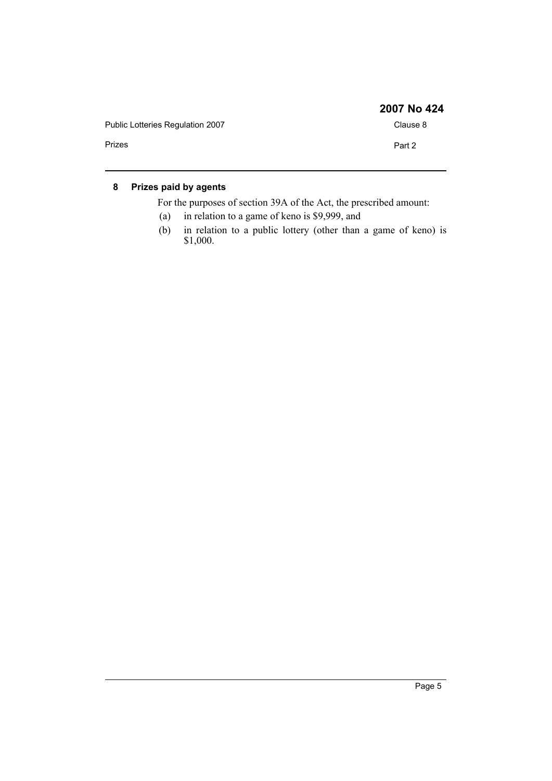|                                  | 2007 No 424 |
|----------------------------------|-------------|
| Public Lotteries Regulation 2007 | Clause 8    |
| Prizes                           | Part 2      |

### <span id="page-4-0"></span>**8 Prizes paid by agents**

For the purposes of section 39A of the Act, the prescribed amount:

- (a) in relation to a game of keno is \$9,999, and
- (b) in relation to a public lottery (other than a game of keno) is \$1,000.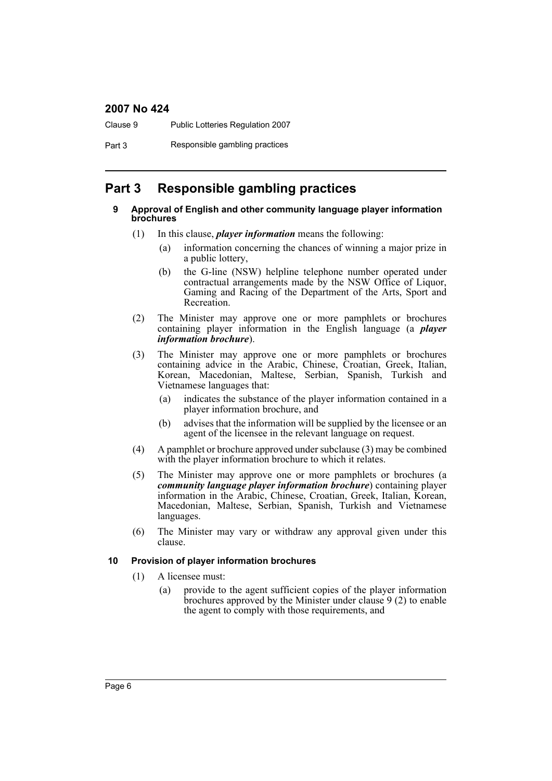Clause 9 Public Lotteries Regulation 2007

Part 3 Responsible gambling practices

### <span id="page-5-1"></span><span id="page-5-0"></span>**Part 3 Responsible gambling practices**

#### **9 Approval of English and other community language player information brochures**

- (1) In this clause, *player information* means the following:
	- (a) information concerning the chances of winning a major prize in a public lottery,
	- (b) the G-line (NSW) helpline telephone number operated under contractual arrangements made by the NSW Office of Liquor, Gaming and Racing of the Department of the Arts, Sport and Recreation.
- (2) The Minister may approve one or more pamphlets or brochures containing player information in the English language (a *player information brochure*).
- (3) The Minister may approve one or more pamphlets or brochures containing advice in the Arabic, Chinese, Croatian, Greek, Italian, Korean, Macedonian, Maltese, Serbian, Spanish, Turkish and Vietnamese languages that:
	- (a) indicates the substance of the player information contained in a player information brochure, and
	- (b) advises that the information will be supplied by the licensee or an agent of the licensee in the relevant language on request.
- (4) A pamphlet or brochure approved under subclause (3) may be combined with the player information brochure to which it relates.
- (5) The Minister may approve one or more pamphlets or brochures (a *community language player information brochure*) containing player information in the Arabic, Chinese, Croatian, Greek, Italian, Korean, Macedonian, Maltese, Serbian, Spanish, Turkish and Vietnamese languages.
- (6) The Minister may vary or withdraw any approval given under this clause.

#### <span id="page-5-2"></span>**10 Provision of player information brochures**

- (1) A licensee must:
	- (a) provide to the agent sufficient copies of the player information brochures approved by the Minister under clause 9 (2) to enable the agent to comply with those requirements, and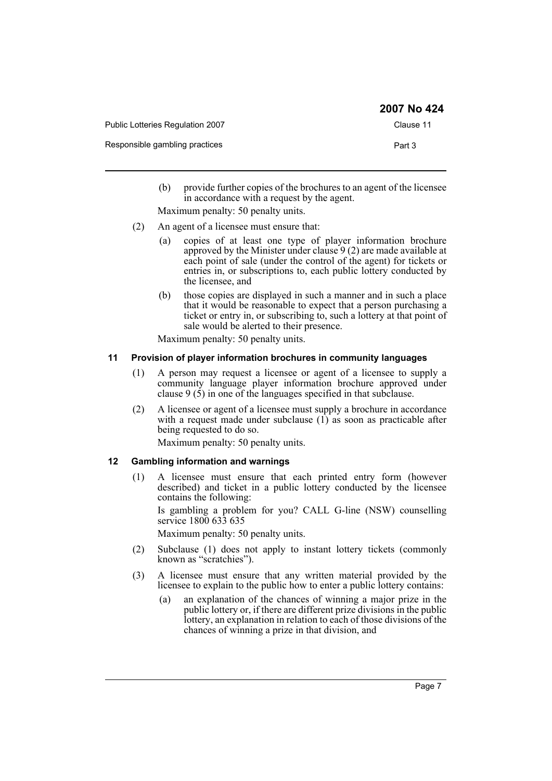|                                         | 2007 No 424 |
|-----------------------------------------|-------------|
| <b>Public Lotteries Regulation 2007</b> | Clause 11   |
| Responsible gambling practices          | Part 3      |

(b) provide further copies of the brochures to an agent of the licensee in accordance with a request by the agent.

Maximum penalty: 50 penalty units.

- (2) An agent of a licensee must ensure that:
	- (a) copies of at least one type of player information brochure approved by the Minister under clause  $9(2)$  are made available at each point of sale (under the control of the agent) for tickets or entries in, or subscriptions to, each public lottery conducted by the licensee, and
	- (b) those copies are displayed in such a manner and in such a place that it would be reasonable to expect that a person purchasing a ticket or entry in, or subscribing to, such a lottery at that point of sale would be alerted to their presence.

Maximum penalty: 50 penalty units.

#### <span id="page-6-0"></span>**11 Provision of player information brochures in community languages**

- (1) A person may request a licensee or agent of a licensee to supply a community language player information brochure approved under clause 9 (5) in one of the languages specified in that subclause.
- (2) A licensee or agent of a licensee must supply a brochure in accordance with a request made under subclause  $(1)$  as soon as practicable after being requested to do so.

Maximum penalty: 50 penalty units.

#### <span id="page-6-1"></span>**12 Gambling information and warnings**

(1) A licensee must ensure that each printed entry form (however described) and ticket in a public lottery conducted by the licensee contains the following:

Is gambling a problem for you? CALL G-line (NSW) counselling service 1800 633 635

Maximum penalty: 50 penalty units.

- (2) Subclause (1) does not apply to instant lottery tickets (commonly known as "scratchies").
- (3) A licensee must ensure that any written material provided by the licensee to explain to the public how to enter a public lottery contains:
	- (a) an explanation of the chances of winning a major prize in the public lottery or, if there are different prize divisions in the public lottery, an explanation in relation to each of those divisions of the chances of winning a prize in that division, and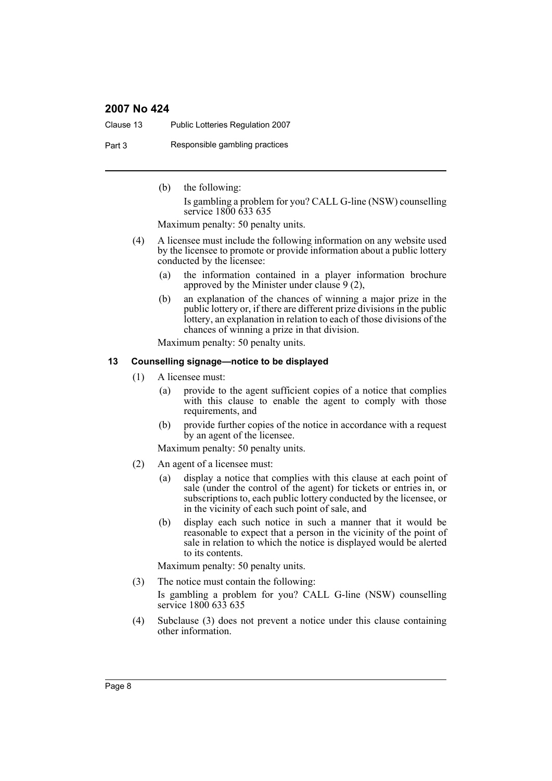Clause 13 Public Lotteries Regulation 2007

Part 3 Responsible gambling practices

(b) the following: Is gambling a problem for you? CALL G-line (NSW) counselling service 1800 633 635

Maximum penalty: 50 penalty units.

- (4) A licensee must include the following information on any website used by the licensee to promote or provide information about a public lottery conducted by the licensee:
	- (a) the information contained in a player information brochure approved by the Minister under clause 9 (2),
	- (b) an explanation of the chances of winning a major prize in the public lottery or, if there are different prize divisions in the public lottery, an explanation in relation to each of those divisions of the chances of winning a prize in that division.

Maximum penalty: 50 penalty units.

#### <span id="page-7-0"></span>**13 Counselling signage—notice to be displayed**

- (1) A licensee must:
	- (a) provide to the agent sufficient copies of a notice that complies with this clause to enable the agent to comply with those requirements, and
	- (b) provide further copies of the notice in accordance with a request by an agent of the licensee.

Maximum penalty: 50 penalty units.

- (2) An agent of a licensee must:
	- (a) display a notice that complies with this clause at each point of sale (under the control of the agent) for tickets or entries in, or subscriptions to, each public lottery conducted by the licensee, or in the vicinity of each such point of sale, and
	- (b) display each such notice in such a manner that it would be reasonable to expect that a person in the vicinity of the point of sale in relation to which the notice is displayed would be alerted to its contents.

Maximum penalty: 50 penalty units.

- (3) The notice must contain the following: Is gambling a problem for you? CALL G-line (NSW) counselling service 1800 633 635
- (4) Subclause (3) does not prevent a notice under this clause containing other information.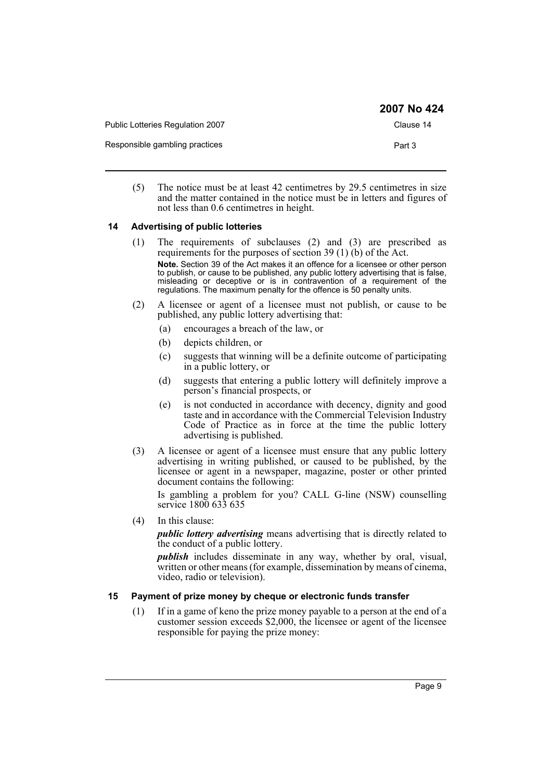|                                         | <b>2007 No 424</b> |
|-----------------------------------------|--------------------|
| <b>Public Lotteries Regulation 2007</b> | Clause 14          |
| Responsible gambling practices          | Part 3             |

(5) The notice must be at least 42 centimetres by 29.5 centimetres in size and the matter contained in the notice must be in letters and figures of not less than 0.6 centimetres in height.

#### <span id="page-8-0"></span>**14 Advertising of public lotteries**

- (1) The requirements of subclauses (2) and (3) are prescribed as requirements for the purposes of section 39 (1) (b) of the Act. **Note.** Section 39 of the Act makes it an offence for a licensee or other person to publish, or cause to be published, any public lottery advertising that is false, misleading or deceptive or is in contravention of a requirement of the regulations. The maximum penalty for the offence is 50 penalty units.
- (2) A licensee or agent of a licensee must not publish, or cause to be published, any public lottery advertising that:
	- (a) encourages a breach of the law, or
	- (b) depicts children, or
	- (c) suggests that winning will be a definite outcome of participating in a public lottery, or
	- (d) suggests that entering a public lottery will definitely improve a person's financial prospects, or
	- (e) is not conducted in accordance with decency, dignity and good taste and in accordance with the Commercial Television Industry Code of Practice as in force at the time the public lottery advertising is published.
- (3) A licensee or agent of a licensee must ensure that any public lottery advertising in writing published, or caused to be published, by the licensee or agent in a newspaper, magazine, poster or other printed document contains the following:

Is gambling a problem for you? CALL G-line (NSW) counselling service 1800 633 635

(4) In this clause:

*public lottery advertising* means advertising that is directly related to the conduct of a public lottery.

*publish* includes disseminate in any way, whether by oral, visual, written or other means (for example, dissemination by means of cinema, video, radio or television).

#### <span id="page-8-1"></span>**15 Payment of prize money by cheque or electronic funds transfer**

(1) If in a game of keno the prize money payable to a person at the end of a customer session exceeds \$2,000, the licensee or agent of the licensee responsible for paying the prize money: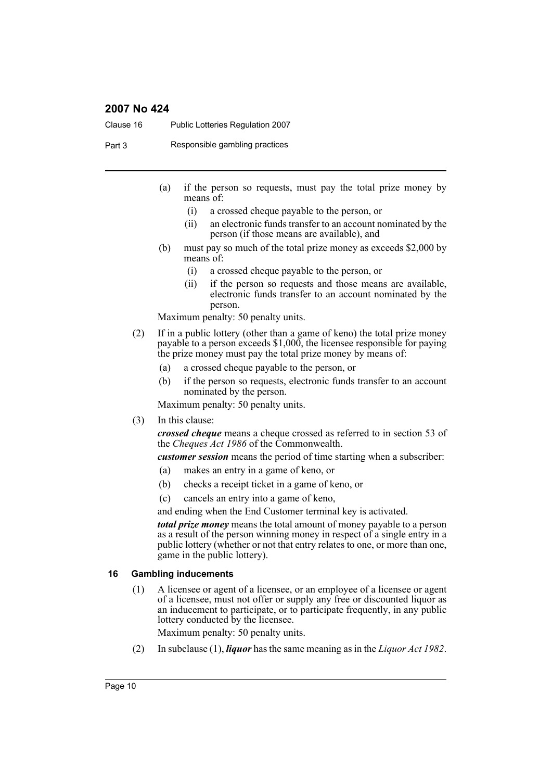Clause 16 Public Lotteries Regulation 2007

Part 3 Responsible gambling practices

- (a) if the person so requests, must pay the total prize money by means of:
	- (i) a crossed cheque payable to the person, or
	- (ii) an electronic funds transfer to an account nominated by the person (if those means are available), and
- (b) must pay so much of the total prize money as exceeds \$2,000 by means of:
	- (i) a crossed cheque payable to the person, or
	- (ii) if the person so requests and those means are available, electronic funds transfer to an account nominated by the person.

Maximum penalty: 50 penalty units.

- (2) If in a public lottery (other than a game of keno) the total prize money payable to a person exceeds \$1,000, the licensee responsible for paying the prize money must pay the total prize money by means of:
	- (a) a crossed cheque payable to the person, or
	- (b) if the person so requests, electronic funds transfer to an account nominated by the person.

Maximum penalty: 50 penalty units.

(3) In this clause:

*crossed cheque* means a cheque crossed as referred to in section 53 of the *Cheques Act 1986* of the Commonwealth.

*customer session* means the period of time starting when a subscriber:

- (a) makes an entry in a game of keno, or
- (b) checks a receipt ticket in a game of keno, or
- (c) cancels an entry into a game of keno,

and ending when the End Customer terminal key is activated.

*total prize money* means the total amount of money payable to a person as a result of the person winning money in respect of a single entry in a public lottery (whether or not that entry relates to one, or more than one, game in the public lottery).

#### <span id="page-9-0"></span>**16 Gambling inducements**

(1) A licensee or agent of a licensee, or an employee of a licensee or agent of a licensee, must not offer or supply any free or discounted liquor as an inducement to participate, or to participate frequently, in any public lottery conducted by the licensee.

Maximum penalty: 50 penalty units.

(2) In subclause (1), *liquor* has the same meaning as in the *Liquor Act 1982*.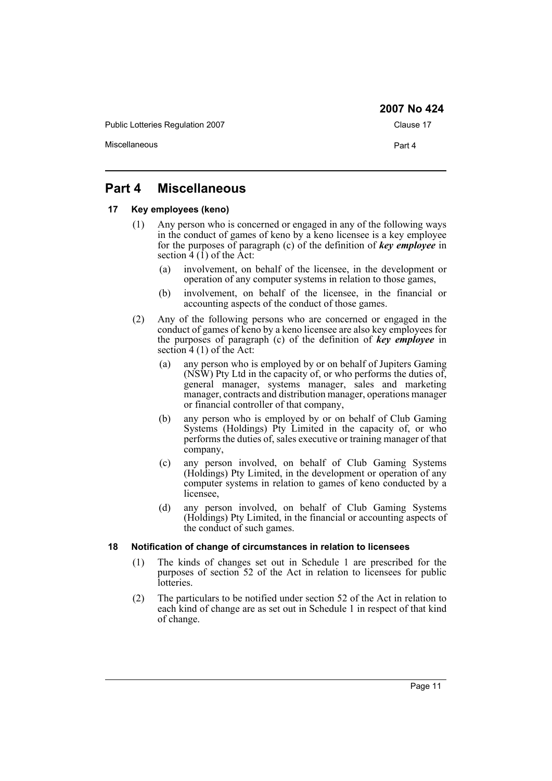Public Lotteries Regulation 2007 Clause 17 Miscellaneous **Part 4** 

# <span id="page-10-0"></span>**Part 4 Miscellaneous**

#### <span id="page-10-1"></span>**17 Key employees (keno)**

- (1) Any person who is concerned or engaged in any of the following ways in the conduct of games of keno by a keno licensee is a key employee for the purposes of paragraph (c) of the definition of *key employee* in section  $\hat{4}$  (1) of the  $\hat{A}$ ct:
	- (a) involvement, on behalf of the licensee, in the development or operation of any computer systems in relation to those games,
	- (b) involvement, on behalf of the licensee, in the financial or accounting aspects of the conduct of those games.
- (2) Any of the following persons who are concerned or engaged in the conduct of games of keno by a keno licensee are also key employees for the purposes of paragraph (c) of the definition of *key employee* in section  $4(1)$  of the Act:
	- (a) any person who is employed by or on behalf of Jupiters Gaming (NSW) Pty Ltd in the capacity of, or who performs the duties of, general manager, systems manager, sales and marketing manager, contracts and distribution manager, operations manager or financial controller of that company,
	- (b) any person who is employed by or on behalf of Club Gaming Systems (Holdings) Pty Limited in the capacity of, or who performs the duties of, sales executive or training manager of that company,
	- (c) any person involved, on behalf of Club Gaming Systems (Holdings) Pty Limited, in the development or operation of any computer systems in relation to games of keno conducted by a licensee,
	- (d) any person involved, on behalf of Club Gaming Systems (Holdings) Pty Limited, in the financial or accounting aspects of the conduct of such games.

#### <span id="page-10-2"></span>**18 Notification of change of circumstances in relation to licensees**

- (1) The kinds of changes set out in Schedule 1 are prescribed for the purposes of section 52 of the Act in relation to licensees for public lotteries.
- (2) The particulars to be notified under section 52 of the Act in relation to each kind of change are as set out in Schedule 1 in respect of that kind of change.

**2007 No 424**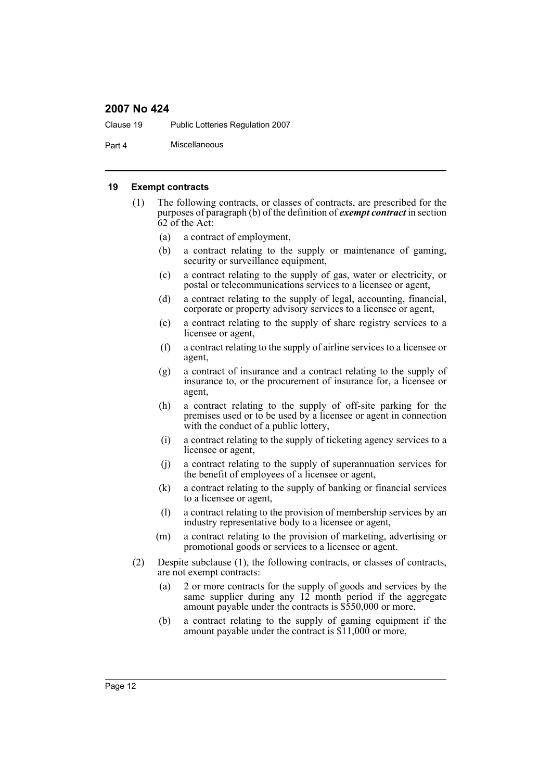Clause 19 Public Lotteries Regulation 2007

Part 4 Miscellaneous

#### <span id="page-11-0"></span>**19 Exempt contracts**

- (1) The following contracts, or classes of contracts, are prescribed for the purposes of paragraph (b) of the definition of *exempt contract* in section 62 of the Act:
	- (a) a contract of employment,
	- (b) a contract relating to the supply or maintenance of gaming, security or surveillance equipment,
	- (c) a contract relating to the supply of gas, water or electricity, or postal or telecommunications services to a licensee or agent,
	- (d) a contract relating to the supply of legal, accounting, financial, corporate or property advisory services to a licensee or agent,
	- (e) a contract relating to the supply of share registry services to a licensee or agent,
	- (f) a contract relating to the supply of airline services to a licensee or agent,
	- (g) a contract of insurance and a contract relating to the supply of insurance to, or the procurement of insurance for, a licensee or agent,
	- (h) a contract relating to the supply of off-site parking for the premises used or to be used by a licensee or agent in connection with the conduct of a public lottery,
	- (i) a contract relating to the supply of ticketing agency services to a licensee or agent,
	- (j) a contract relating to the supply of superannuation services for the benefit of employees of a licensee or agent,
	- (k) a contract relating to the supply of banking or financial services to a licensee or agent,
	- (l) a contract relating to the provision of membership services by an industry representative body to a licensee or agent,
	- (m) a contract relating to the provision of marketing, advertising or promotional goods or services to a licensee or agent.
- (2) Despite subclause (1), the following contracts, or classes of contracts, are not exempt contracts:
	- (a) 2 or more contracts for the supply of goods and services by the same supplier during any 12 month period if the aggregate amount payable under the contracts is \$550,000 or more,
	- (b) a contract relating to the supply of gaming equipment if the amount payable under the contract is \$11,000 or more,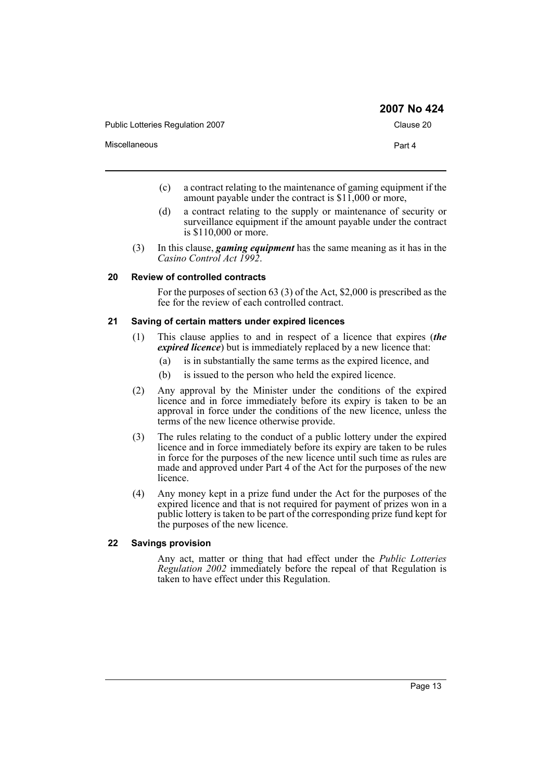|                                  | 2007 No 424 |
|----------------------------------|-------------|
| Public Lotteries Regulation 2007 | Clause 20   |
| <b>Miscellaneous</b>             | Part 4      |

- (c) a contract relating to the maintenance of gaming equipment if the amount payable under the contract is  $$1\overline{1,}000$  or more,
- (d) a contract relating to the supply or maintenance of security or surveillance equipment if the amount payable under the contract is \$110,000 or more.
- (3) In this clause, *gaming equipment* has the same meaning as it has in the *Casino Control Act 1992*.

#### <span id="page-12-0"></span>**20 Review of controlled contracts**

For the purposes of section 63 (3) of the Act, \$2,000 is prescribed as the fee for the review of each controlled contract.

#### <span id="page-12-1"></span>**21 Saving of certain matters under expired licences**

- (1) This clause applies to and in respect of a licence that expires (*the expired licence*) but is immediately replaced by a new licence that:
	- (a) is in substantially the same terms as the expired licence, and
	- (b) is issued to the person who held the expired licence.
- (2) Any approval by the Minister under the conditions of the expired licence and in force immediately before its expiry is taken to be an approval in force under the conditions of the new licence, unless the terms of the new licence otherwise provide.
- (3) The rules relating to the conduct of a public lottery under the expired licence and in force immediately before its expiry are taken to be rules in force for the purposes of the new licence until such time as rules are made and approved under Part 4 of the Act for the purposes of the new licence.
- (4) Any money kept in a prize fund under the Act for the purposes of the expired licence and that is not required for payment of prizes won in a public lottery is taken to be part of the corresponding prize fund kept for the purposes of the new licence.

#### <span id="page-12-2"></span>**22 Savings provision**

Any act, matter or thing that had effect under the *Public Lotteries Regulation 2002* immediately before the repeal of that Regulation is taken to have effect under this Regulation.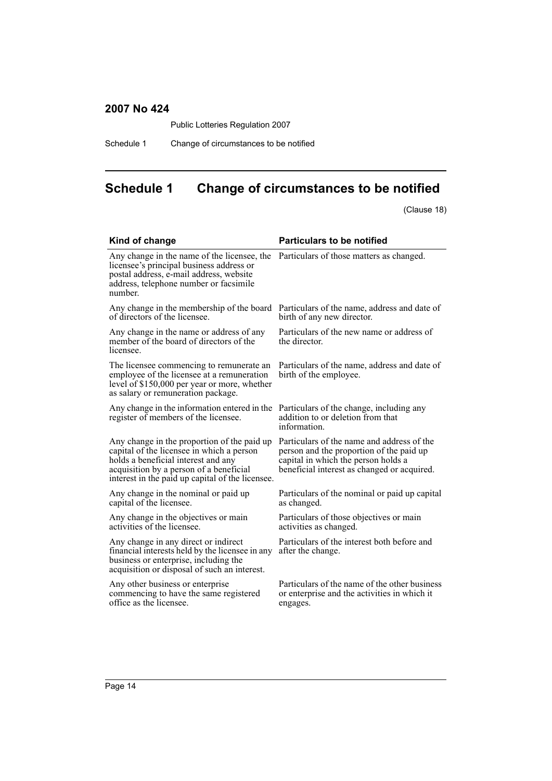Public Lotteries Regulation 2007

Schedule 1 Change of circumstances to be notified

# <span id="page-13-0"></span>**Schedule 1 Change of circumstances to be notified**

(Clause 18)

| Kind of change                                                                                                                                                                                                                 | <b>Particulars to be notified</b>                                                                                                                                            |  |
|--------------------------------------------------------------------------------------------------------------------------------------------------------------------------------------------------------------------------------|------------------------------------------------------------------------------------------------------------------------------------------------------------------------------|--|
| Any change in the name of the licensee, the<br>licensee's principal business address or<br>postal address, e-mail address, website<br>address, telephone number or facsimile<br>number.                                        | Particulars of those matters as changed.                                                                                                                                     |  |
| Any change in the membership of the board<br>of directors of the licensee.                                                                                                                                                     | Particulars of the name, address and date of<br>birth of any new director.                                                                                                   |  |
| Any change in the name or address of any<br>member of the board of directors of the<br>licensee.                                                                                                                               | Particulars of the new name or address of<br>the director.                                                                                                                   |  |
| The licensee commencing to remunerate an<br>employee of the licensee at a remuneration<br>level of \$150,000 per year or more, whether<br>as salary or remuneration package.                                                   | Particulars of the name, address and date of<br>birth of the employee.                                                                                                       |  |
| Any change in the information entered in the<br>register of members of the licensee.                                                                                                                                           | Particulars of the change, including any<br>addition to or deletion from that<br>information.                                                                                |  |
| Any change in the proportion of the paid up<br>capital of the licensee in which a person<br>holds a beneficial interest and any<br>acquisition by a person of a beneficial<br>interest in the paid up capital of the licensee. | Particulars of the name and address of the<br>person and the proportion of the paid up<br>capital in which the person holds a<br>beneficial interest as changed or acquired. |  |
| Any change in the nominal or paid up<br>capital of the licensee.                                                                                                                                                               | Particulars of the nominal or paid up capital<br>as changed.                                                                                                                 |  |
| Any change in the objectives or main<br>activities of the licensee.                                                                                                                                                            | Particulars of those objectives or main<br>activities as changed.                                                                                                            |  |
| Any change in any direct or indirect<br>financial interests held by the licensee in any<br>business or enterprise, including the<br>acquisition or disposal of such an interest.                                               | Particulars of the interest both before and<br>after the change.                                                                                                             |  |
| Any other business or enterprise<br>commencing to have the same registered<br>office as the licensee.                                                                                                                          | Particulars of the name of the other business<br>or enterprise and the activities in which it<br>engages.                                                                    |  |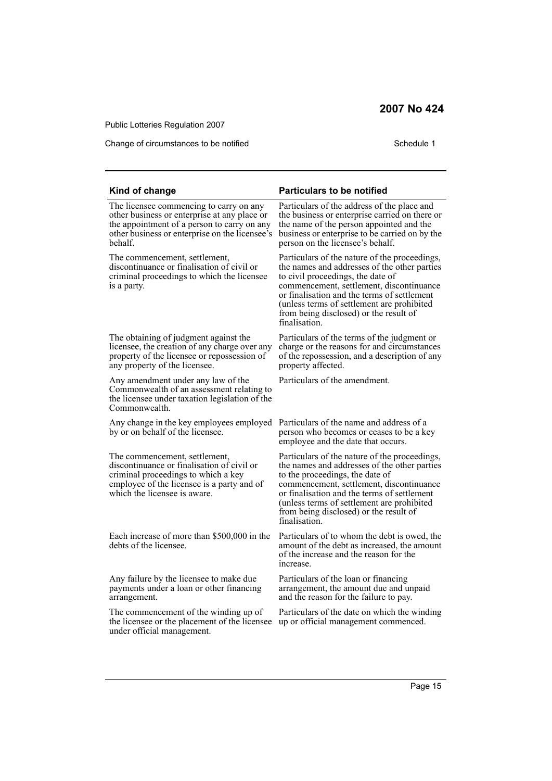Public Lotteries Regulation 2007

Change of circumstances to be notified Schedule 1

| Kind of change                                                                                                                                                                                      | <b>Particulars to be notified</b>                                                                                                                                                                                                                                                                                                      |
|-----------------------------------------------------------------------------------------------------------------------------------------------------------------------------------------------------|----------------------------------------------------------------------------------------------------------------------------------------------------------------------------------------------------------------------------------------------------------------------------------------------------------------------------------------|
| The licensee commencing to carry on any<br>other business or enterprise at any place or<br>the appointment of a person to carry on any<br>other business or enterprise on the licensee's<br>behalf. | Particulars of the address of the place and<br>the business or enterprise carried on there or<br>the name of the person appointed and the<br>business or enterprise to be carried on by the<br>person on the licensee's behalf.                                                                                                        |
| The commencement, settlement,<br>discontinuance or finalisation of civil or<br>criminal proceedings to which the licensee<br>is a party.                                                            | Particulars of the nature of the proceedings,<br>the names and addresses of the other parties<br>to civil proceedings, the date of<br>commencement, settlement, discontinuance<br>or finalisation and the terms of settlement<br>(unless terms of settlement are prohibited<br>from being disclosed) or the result of<br>finalisation. |
| The obtaining of judgment against the<br>licensee, the creation of any charge over any<br>property of the licensee or repossession of<br>any property of the licensee.                              | Particulars of the terms of the judgment or<br>charge or the reasons for and circumstances<br>of the repossession, and a description of any<br>property affected.                                                                                                                                                                      |
| Any amendment under any law of the<br>Commonwealth of an assessment relating to<br>the licensee under taxation legislation of the<br>Commonwealth.                                                  | Particulars of the amendment.                                                                                                                                                                                                                                                                                                          |
| Any change in the key employees employed<br>by or on behalf of the licensee.                                                                                                                        | Particulars of the name and address of a<br>person who becomes or ceases to be a key<br>employee and the date that occurs.                                                                                                                                                                                                             |
| The commencement, settlement,<br>discontinuance or finalisation of civil or<br>criminal proceedings to which a key<br>employee of the licensee is a party and of<br>which the licensee is aware.    | Particulars of the nature of the proceedings,<br>the names and addresses of the other parties<br>to the proceedings, the date of<br>commencement, settlement, discontinuance<br>or finalisation and the terms of settlement<br>(unless terms of settlement are prohibited<br>from being disclosed) or the result of<br>finalisation.   |
| Each increase of more than \$500,000 in the<br>debts of the licensee.                                                                                                                               | Particulars of to whom the debt is owed, the<br>amount of the debt as increased, the amount<br>of the increase and the reason for the<br>increase.                                                                                                                                                                                     |
| Any failure by the licensee to make due<br>payments under a loan or other financing<br>arrangement.                                                                                                 | Particulars of the loan or financing<br>arrangement, the amount due and unpaid<br>and the reason for the failure to pay.                                                                                                                                                                                                               |
| The commencement of the winding up of<br>the licensee or the placement of the licensee<br>under official management.                                                                                | Particulars of the date on which the winding<br>up or official management commenced.                                                                                                                                                                                                                                                   |